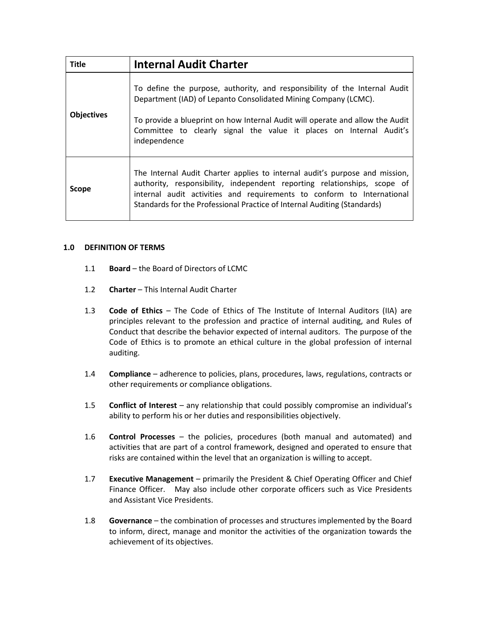| <b>Title</b>      | <b>Internal Audit Charter</b>                                                                                                                                                                                                                                                                                         |
|-------------------|-----------------------------------------------------------------------------------------------------------------------------------------------------------------------------------------------------------------------------------------------------------------------------------------------------------------------|
| <b>Objectives</b> | To define the purpose, authority, and responsibility of the Internal Audit<br>Department (IAD) of Lepanto Consolidated Mining Company (LCMC).<br>To provide a blueprint on how Internal Audit will operate and allow the Audit<br>Committee to clearly signal the value it places on Internal Audit's<br>independence |
| Scope             | The Internal Audit Charter applies to internal audit's purpose and mission,<br>authority, responsibility, independent reporting relationships, scope of<br>internal audit activities and requirements to conform to International<br>Standards for the Professional Practice of Internal Auditing (Standards)         |

#### **1.0 DEFINITION OF TERMS**

- 1.1 **Board** the Board of Directors of LCMC
- 1.2 **Charter** This Internal Audit Charter
- 1.3 **Code of Ethics** The Code of Ethics of The Institute of Internal Auditors (IIA) are principles relevant to the profession and practice of internal auditing, and Rules of Conduct that describe the behavior expected of internal auditors. The purpose of the Code of Ethics is to promote an ethical culture in the global profession of internal auditing.
- 1.4 **Compliance** adherence to policies, plans, procedures, laws, regulations, contracts or other requirements or compliance obligations.
- 1.5 **Conflict of Interest** any relationship that could possibly compromise an individual's ability to perform his or her duties and responsibilities objectively.
- 1.6 **Control Processes** the policies, procedures (both manual and automated) and activities that are part of a control framework, designed and operated to ensure that risks are contained within the level that an organization is willing to accept.
- 1.7 **Executive Management** primarily the President & Chief Operating Officer and Chief Finance Officer. May also include other corporate officers such as Vice Presidents and Assistant Vice Presidents.
- 1.8 **Governance** the combination of processes and structures implemented by the Board to inform, direct, manage and monitor the activities of the organization towards the achievement of its objectives.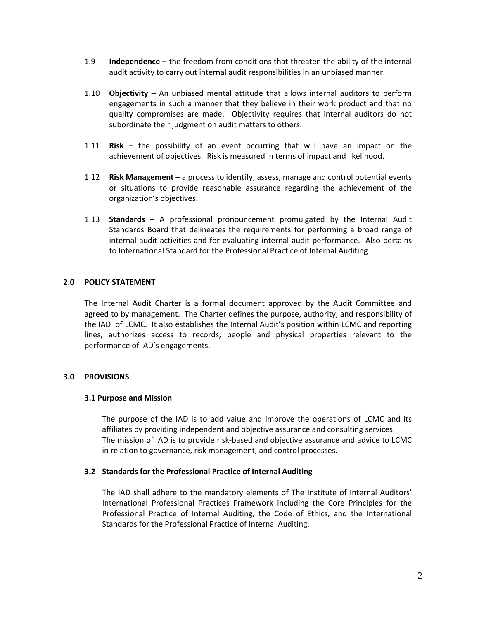- 1.9 **Independence** the freedom from conditions that threaten the ability of the internal audit activity to carry out internal audit responsibilities in an unbiased manner.
- 1.10 **Objectivity** An unbiased mental attitude that allows internal auditors to perform engagements in such a manner that they believe in their work product and that no quality compromises are made. Objectivity requires that internal auditors do not subordinate their judgment on audit matters to others.
- 1.11 **Risk** the possibility of an event occurring that will have an impact on the achievement of objectives. Risk is measured in terms of impact and likelihood.
- 1.12 **Risk Management** a process to identify, assess, manage and control potential events or situations to provide reasonable assurance regarding the achievement of the organization's objectives.
- 1.13 **Standards**  A professional pronouncement promulgated by the Internal Audit Standards Board that delineates the requirements for performing a broad range of internal audit activities and for evaluating internal audit performance. Also pertains to International Standard for the Professional Practice of Internal Auditing

## **2.0 POLICY STATEMENT**

The Internal Audit Charter is a formal document approved by the Audit Committee and agreed to by management. The Charter defines the purpose, authority, and responsibility of the IAD of LCMC. It also establishes the Internal Audit's position within LCMC and reporting lines, authorizes access to records, people and physical properties relevant to the performance of IAD's engagements.

## **3.0 PROVISIONS**

#### **3.1 Purpose and Mission**

The purpose of the IAD is to add value and improve the operations of LCMC and its affiliates by providing independent and objective assurance and consulting services. The mission of IAD is to provide risk-based and objective assurance and advice to LCMC in relation to governance, risk management, and control processes.

## **3.2 Standards for the Professional Practice of Internal Auditing**

The IAD shall adhere to the mandatory elements of The Institute of Internal Auditors' International Professional Practices Framework including the Core Principles for the Professional Practice of Internal Auditing, the Code of Ethics, and the International Standards for the Professional Practice of Internal Auditing.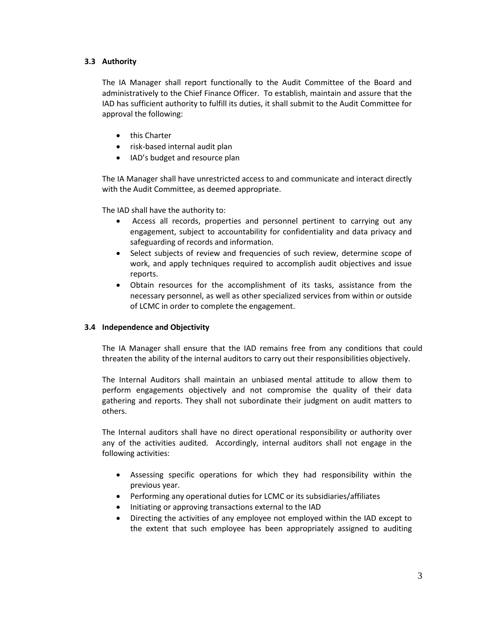# **3.3 Authority**

The IA Manager shall report functionally to the Audit Committee of the Board and administratively to the Chief Finance Officer. To establish, maintain and assure that the IAD has sufficient authority to fulfill its duties, it shall submit to the Audit Committee for approval the following:

- this Charter
- risk-based internal audit plan
- IAD's budget and resource plan

The IA Manager shall have unrestricted access to and communicate and interact directly with the Audit Committee, as deemed appropriate.

The IAD shall have the authority to:

- Access all records, properties and personnel pertinent to carrying out any engagement, subject to accountability for confidentiality and data privacy and safeguarding of records and information.
- Select subjects of review and frequencies of such review, determine scope of work, and apply techniques required to accomplish audit objectives and issue reports.
- Obtain resources for the accomplishment of its tasks, assistance from the necessary personnel, as well as other specialized services from within or outside of LCMC in order to complete the engagement.

## **3.4 Independence and Objectivity**

The IA Manager shall ensure that the IAD remains free from any conditions that could threaten the ability of the internal auditors to carry out their responsibilities objectively.

The Internal Auditors shall maintain an unbiased mental attitude to allow them to perform engagements objectively and not compromise the quality of their data gathering and reports. They shall not subordinate their judgment on audit matters to others.

The Internal auditors shall have no direct operational responsibility or authority over any of the activities audited. Accordingly, internal auditors shall not engage in the following activities:

- Assessing specific operations for which they had responsibility within the previous year.
- Performing any operational duties for LCMC or its subsidiaries/affiliates
- Initiating or approving transactions external to the IAD
- Directing the activities of any employee not employed within the IAD except to the extent that such employee has been appropriately assigned to auditing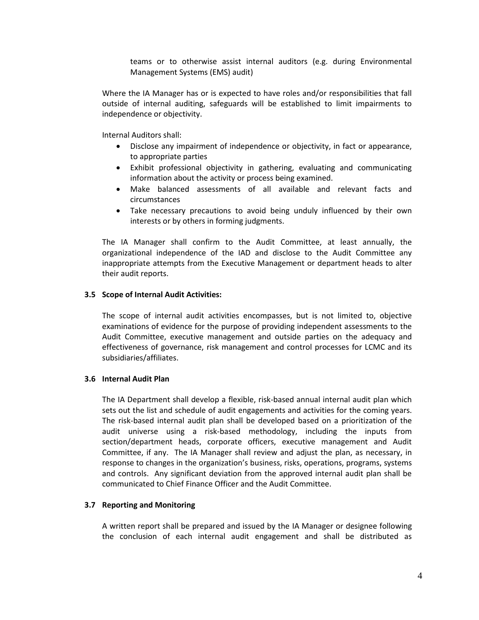teams or to otherwise assist internal auditors (e.g. during Environmental Management Systems (EMS) audit)

Where the IA Manager has or is expected to have roles and/or responsibilities that fall outside of internal auditing, safeguards will be established to limit impairments to independence or objectivity.

Internal Auditors shall:

- Disclose any impairment of independence or objectivity, in fact or appearance, to appropriate parties
- Exhibit professional objectivity in gathering, evaluating and communicating information about the activity or process being examined.
- Make balanced assessments of all available and relevant facts and circumstances
- Take necessary precautions to avoid being unduly influenced by their own interests or by others in forming judgments.

The IA Manager shall confirm to the Audit Committee, at least annually, the organizational independence of the IAD and disclose to the Audit Committee any inappropriate attempts from the Executive Management or department heads to alter their audit reports.

## **3.5 Scope of Internal Audit Activities:**

The scope of internal audit activities encompasses, but is not limited to, objective examinations of evidence for the purpose of providing independent assessments to the Audit Committee, executive management and outside parties on the adequacy and effectiveness of governance, risk management and control processes for LCMC and its subsidiaries/affiliates.

## **3.6 Internal Audit Plan**

The IA Department shall develop a flexible, risk-based annual internal audit plan which sets out the list and schedule of audit engagements and activities for the coming years. The risk-based internal audit plan shall be developed based on a prioritization of the audit universe using a risk-based methodology, including the inputs from section/department heads, corporate officers, executive management and Audit Committee, if any. The IA Manager shall review and adjust the plan, as necessary, in response to changes in the organization's business, risks, operations, programs, systems and controls. Any significant deviation from the approved internal audit plan shall be communicated to Chief Finance Officer and the Audit Committee.

## **3.7 Reporting and Monitoring**

A written report shall be prepared and issued by the IA Manager or designee following the conclusion of each internal audit engagement and shall be distributed as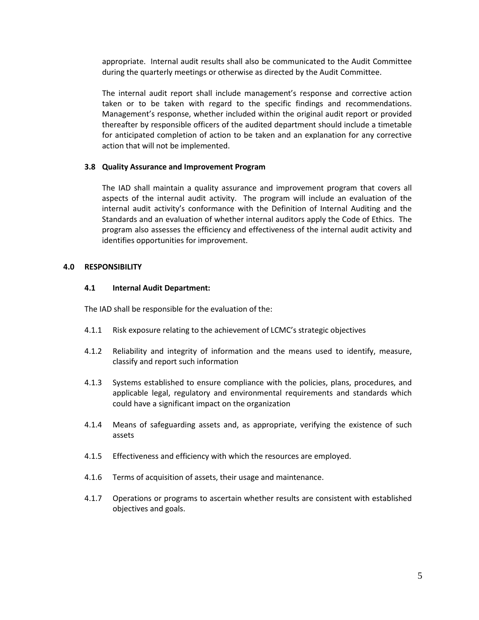appropriate. Internal audit results shall also be communicated to the Audit Committee during the quarterly meetings or otherwise as directed by the Audit Committee.

The internal audit report shall include management's response and corrective action taken or to be taken with regard to the specific findings and recommendations. Management's response, whether included within the original audit report or provided thereafter by responsible officers of the audited department should include a timetable for anticipated completion of action to be taken and an explanation for any corrective action that will not be implemented.

#### **3.8 Quality Assurance and Improvement Program**

The IAD shall maintain a quality assurance and improvement program that covers all aspects of the internal audit activity. The program will include an evaluation of the internal audit activity's conformance with the Definition of Internal Auditing and the Standards and an evaluation of whether internal auditors apply the Code of Ethics. The program also assesses the efficiency and effectiveness of the internal audit activity and identifies opportunities for improvement.

#### **4.0 RESPONSIBILITY**

#### **4.1 Internal Audit Department:**

The IAD shall be responsible for the evaluation of the:

- 4.1.1 Risk exposure relating to the achievement of LCMC's strategic objectives
- 4.1.2 Reliability and integrity of information and the means used to identify, measure, classify and report such information
- 4.1.3 Systems established to ensure compliance with the policies, plans, procedures, and applicable legal, regulatory and environmental requirements and standards which could have a significant impact on the organization
- 4.1.4 Means of safeguarding assets and, as appropriate, verifying the existence of such assets
- 4.1.5 Effectiveness and efficiency with which the resources are employed.
- 4.1.6 Terms of acquisition of assets, their usage and maintenance.
- 4.1.7 Operations or programs to ascertain whether results are consistent with established objectives and goals.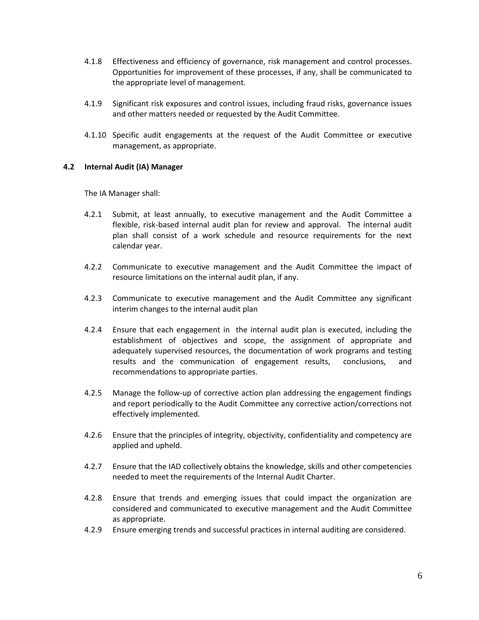- 4.1.8 Effectiveness and efficiency of governance, risk management and control processes. Opportunities for improvement of these processes, if any, shall be communicated to the appropriate level of management.
- 4.1.9 Significant risk exposures and control issues, including fraud risks, governance issues and other matters needed or requested by the Audit Committee.
- 4.1.10 Specific audit engagements at the request of the Audit Committee or executive management, as appropriate.

#### **4.2 Internal Audit (IA) Manager**

The IA Manager shall:

- 4.2.1 Submit, at least annually, to executive management and the Audit Committee a flexible, risk-based internal audit plan for review and approval. The internal audit plan shall consist of a work schedule and resource requirements for the next calendar year.
- 4.2.2 Communicate to executive management and the Audit Committee the impact of resource limitations on the internal audit plan, if any.
- 4.2.3 Communicate to executive management and the Audit Committee any significant interim changes to the internal audit plan
- 4.2.4 Ensure that each engagement in the internal audit plan is executed, including the establishment of objectives and scope, the assignment of appropriate and adequately supervised resources, the documentation of work programs and testing results and the communication of engagement results, conclusions, and recommendations to appropriate parties.
- 4.2.5 Manage the follow-up of corrective action plan addressing the engagement findings and report periodically to the Audit Committee any corrective action/corrections not effectively implemented.
- 4.2.6 Ensure that the principles of integrity, objectivity, confidentiality and competency are applied and upheld.
- 4.2.7 Ensure that the IAD collectively obtains the knowledge, skills and other competencies needed to meet the requirements of the Internal Audit Charter.
- 4.2.8 Ensure that trends and emerging issues that could impact the organization are considered and communicated to executive management and the Audit Committee as appropriate.
- 4.2.9 Ensure emerging trends and successful practices in internal auditing are considered.